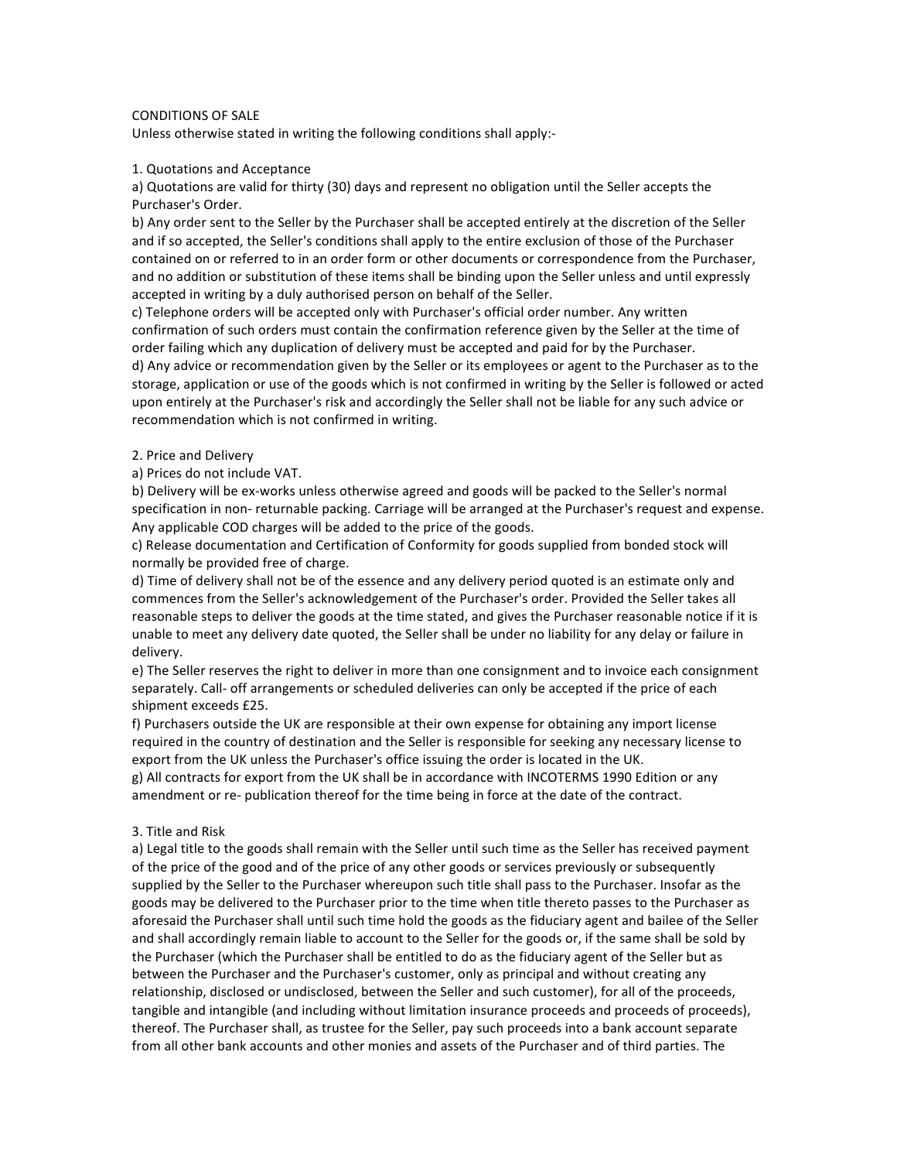# CONDITIONS OF SALE

Unless otherwise stated in writing the following conditions shall apply:-

## 1. Quotations and Acceptance

a) Quotations are valid for thirty (30) days and represent no obligation until the Seller accepts the Purchaser's Order.

b) Any order sent to the Seller by the Purchaser shall be accepted entirely at the discretion of the Seller and if so accepted, the Seller's conditions shall apply to the entire exclusion of those of the Purchaser contained on or referred to in an order form or other documents or correspondence from the Purchaser, and no addition or substitution of these items shall be binding upon the Seller unless and until expressly accepted in writing by a duly authorised person on behalf of the Seller.

c) Telephone orders will be accepted only with Purchaser's official order number. Any written confirmation of such orders must contain the confirmation reference given by the Seller at the time of order failing which any duplication of delivery must be accepted and paid for by the Purchaser. d) Any advice or recommendation given by the Seller or its employees or agent to the Purchaser as to the storage, application or use of the goods which is not confirmed in writing by the Seller is followed or acted upon entirely at the Purchaser's risk and accordingly the Seller shall not be liable for any such advice or recommendation which is not confirmed in writing.

#### 2. Price and Delivery

a) Prices do not include VAT.

b) Delivery will be ex-works unless otherwise agreed and goods will be packed to the Seller's normal specification in non- returnable packing. Carriage will be arranged at the Purchaser's request and expense. Any applicable COD charges will be added to the price of the goods.

c) Release documentation and Certification of Conformity for goods supplied from bonded stock will normally be provided free of charge.

d) Time of delivery shall not be of the essence and any delivery period quoted is an estimate only and commences from the Seller's acknowledgement of the Purchaser's order. Provided the Seller takes all reasonable steps to deliver the goods at the time stated, and gives the Purchaser reasonable notice if it is unable to meet any delivery date quoted, the Seller shall be under no liability for any delay or failure in delivery.

e) The Seller reserves the right to deliver in more than one consignment and to invoice each consignment separately. Call- off arrangements or scheduled deliveries can only be accepted if the price of each shipment exceeds £25.

f) Purchasers outside the UK are responsible at their own expense for obtaining any import license required in the country of destination and the Seller is responsible for seeking any necessary license to export from the UK unless the Purchaser's office issuing the order is located in the UK. g) All contracts for export from the UK shall be in accordance with INCOTERMS 1990 Edition or any amendment or re- publication thereof for the time being in force at the date of the contract.

#### 3. Title and Risk

a) Legal title to the goods shall remain with the Seller until such time as the Seller has received payment of the price of the good and of the price of any other goods or services previously or subsequently supplied by the Seller to the Purchaser whereupon such title shall pass to the Purchaser. Insofar as the goods may be delivered to the Purchaser prior to the time when title thereto passes to the Purchaser as aforesaid the Purchaser shall until such time hold the goods as the fiduciary agent and bailee of the Seller and shall accordingly remain liable to account to the Seller for the goods or, if the same shall be sold by the Purchaser (which the Purchaser shall be entitled to do as the fiduciary agent of the Seller but as between the Purchaser and the Purchaser's customer, only as principal and without creating any relationship, disclosed or undisclosed, between the Seller and such customer), for all of the proceeds, tangible and intangible (and including without limitation insurance proceeds and proceeds of proceeds), thereof. The Purchaser shall, as trustee for the Seller, pay such proceeds into a bank account separate from all other bank accounts and other monies and assets of the Purchaser and of third parties. The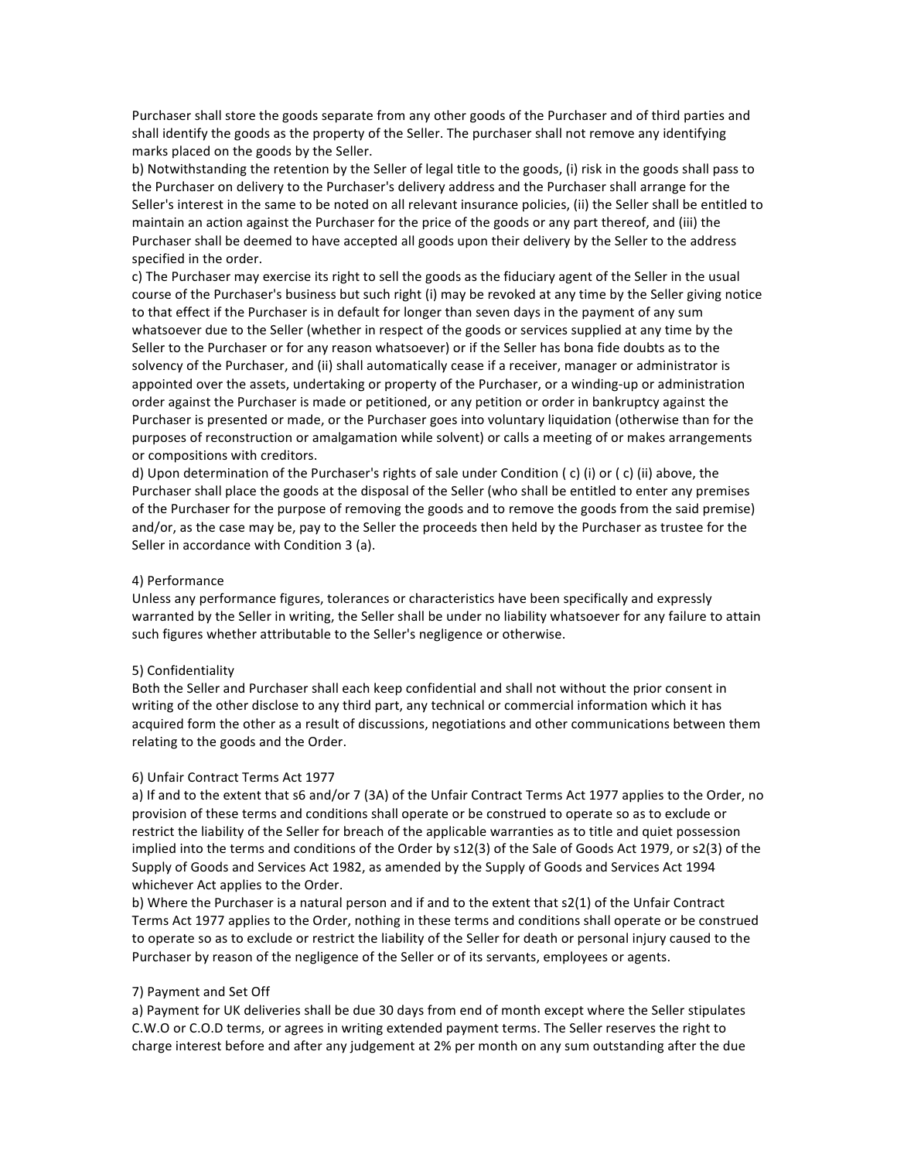Purchaser shall store the goods separate from any other goods of the Purchaser and of third parties and shall identify the goods as the property of the Seller. The purchaser shall not remove any identifying marks placed on the goods by the Seller.

b) Notwithstanding the retention by the Seller of legal title to the goods, (i) risk in the goods shall pass to the Purchaser on delivery to the Purchaser's delivery address and the Purchaser shall arrange for the Seller's interest in the same to be noted on all relevant insurance policies, (ii) the Seller shall be entitled to maintain an action against the Purchaser for the price of the goods or any part thereof, and (iii) the Purchaser shall be deemed to have accepted all goods upon their delivery by the Seller to the address specified in the order.

c) The Purchaser may exercise its right to sell the goods as the fiduciary agent of the Seller in the usual course of the Purchaser's business but such right (i) may be revoked at any time by the Seller giving notice to that effect if the Purchaser is in default for longer than seven days in the payment of any sum whatsoever due to the Seller (whether in respect of the goods or services supplied at any time by the Seller to the Purchaser or for any reason whatsoever) or if the Seller has bona fide doubts as to the solvency of the Purchaser, and (ii) shall automatically cease if a receiver, manager or administrator is appointed over the assets, undertaking or property of the Purchaser, or a winding-up or administration order against the Purchaser is made or petitioned, or any petition or order in bankruptcy against the Purchaser is presented or made, or the Purchaser goes into voluntary liquidation (otherwise than for the purposes of reconstruction or amalgamation while solvent) or calls a meeting of or makes arrangements or compositions with creditors.

d) Upon determination of the Purchaser's rights of sale under Condition (c) (i) or (c) (ii) above, the Purchaser shall place the goods at the disposal of the Seller (who shall be entitled to enter any premises of the Purchaser for the purpose of removing the goods and to remove the goods from the said premise) and/or, as the case may be, pay to the Seller the proceeds then held by the Purchaser as trustee for the Seller in accordance with Condition 3 (a).

## 4) Performance

Unless any performance figures, tolerances or characteristics have been specifically and expressly warranted by the Seller in writing, the Seller shall be under no liability whatsoever for any failure to attain such figures whether attributable to the Seller's negligence or otherwise.

## 5) Confidentiality

Both the Seller and Purchaser shall each keep confidential and shall not without the prior consent in writing of the other disclose to any third part, any technical or commercial information which it has acquired form the other as a result of discussions, negotiations and other communications between them relating to the goods and the Order.

#### 6) Unfair Contract Terms Act 1977

a) If and to the extent that s6 and/or 7 (3A) of the Unfair Contract Terms Act 1977 applies to the Order, no provision of these terms and conditions shall operate or be construed to operate so as to exclude or restrict the liability of the Seller for breach of the applicable warranties as to title and quiet possession implied into the terms and conditions of the Order by s12(3) of the Sale of Goods Act 1979, or s2(3) of the Supply of Goods and Services Act 1982, as amended by the Supply of Goods and Services Act 1994 whichever Act applies to the Order.

b) Where the Purchaser is a natural person and if and to the extent that s2(1) of the Unfair Contract Terms Act 1977 applies to the Order, nothing in these terms and conditions shall operate or be construed to operate so as to exclude or restrict the liability of the Seller for death or personal injury caused to the Purchaser by reason of the negligence of the Seller or of its servants, employees or agents.

#### 7) Payment and Set Off

a) Payment for UK deliveries shall be due 30 days from end of month except where the Seller stipulates C.W.O or C.O.D terms, or agrees in writing extended payment terms. The Seller reserves the right to charge interest before and after any judgement at 2% per month on any sum outstanding after the due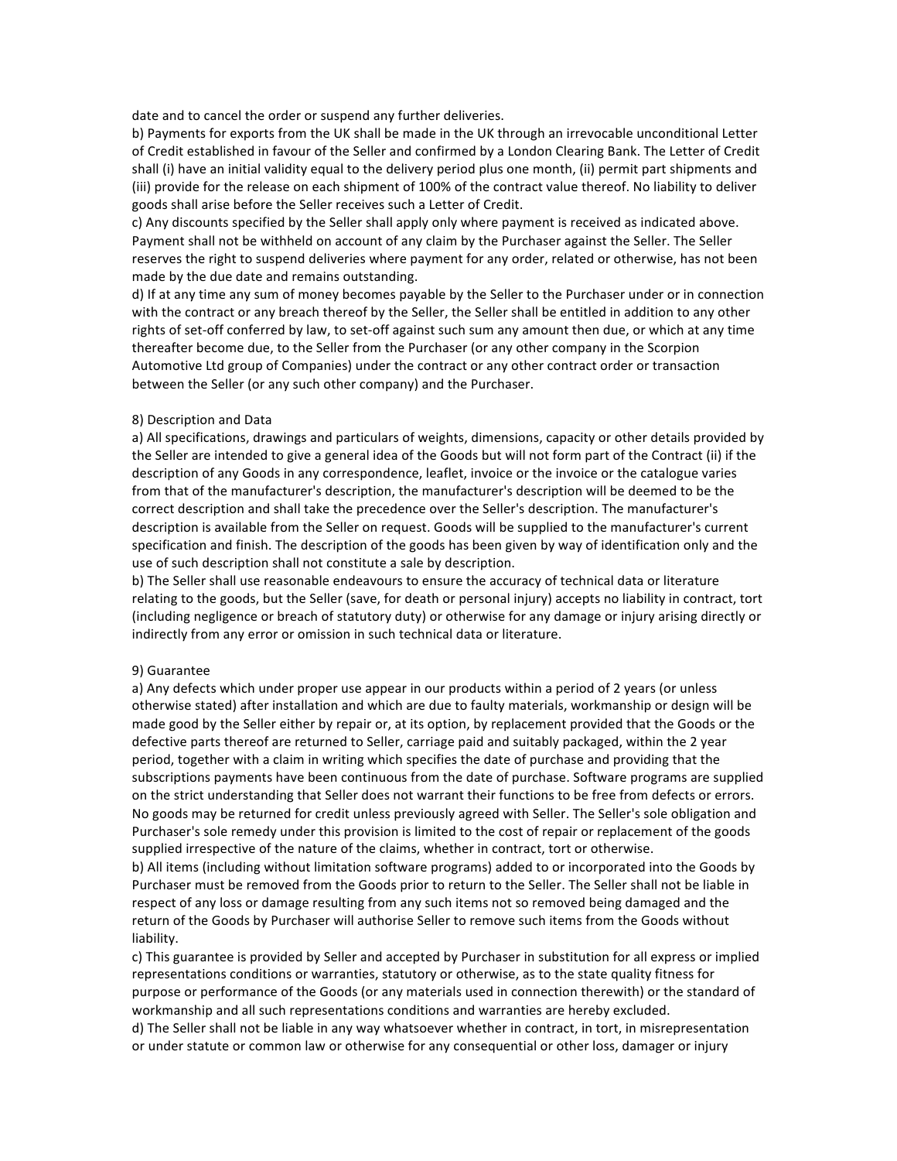date and to cancel the order or suspend any further deliveries.

b) Payments for exports from the UK shall be made in the UK through an irrevocable unconditional Letter of Credit established in favour of the Seller and confirmed by a London Clearing Bank. The Letter of Credit shall (i) have an initial validity equal to the delivery period plus one month, (ii) permit part shipments and (iii) provide for the release on each shipment of 100% of the contract value thereof. No liability to deliver goods shall arise before the Seller receives such a Letter of Credit.

c) Any discounts specified by the Seller shall apply only where payment is received as indicated above. Payment shall not be withheld on account of any claim by the Purchaser against the Seller. The Seller reserves the right to suspend deliveries where payment for any order, related or otherwise, has not been made by the due date and remains outstanding.

d) If at any time any sum of money becomes payable by the Seller to the Purchaser under or in connection with the contract or any breach thereof by the Seller, the Seller shall be entitled in addition to any other rights of set-off conferred by law, to set-off against such sum any amount then due, or which at any time thereafter become due, to the Seller from the Purchaser (or any other company in the Scorpion Automotive Ltd group of Companies) under the contract or any other contract order or transaction between the Seller (or any such other company) and the Purchaser.

## 8) Description and Data

a) All specifications, drawings and particulars of weights, dimensions, capacity or other details provided by the Seller are intended to give a general idea of the Goods but will not form part of the Contract (ii) if the description of any Goods in any correspondence, leaflet, invoice or the invoice or the catalogue varies from that of the manufacturer's description, the manufacturer's description will be deemed to be the correct description and shall take the precedence over the Seller's description. The manufacturer's description is available from the Seller on request. Goods will be supplied to the manufacturer's current specification and finish. The description of the goods has been given by way of identification only and the use of such description shall not constitute a sale by description.

b) The Seller shall use reasonable endeavours to ensure the accuracy of technical data or literature relating to the goods, but the Seller (save, for death or personal injury) accepts no liability in contract, tort (including negligence or breach of statutory duty) or otherwise for any damage or injury arising directly or indirectly from any error or omission in such technical data or literature.

#### 9) Guarantee

a) Any defects which under proper use appear in our products within a period of 2 years (or unless otherwise stated) after installation and which are due to faulty materials, workmanship or design will be made good by the Seller either by repair or, at its option, by replacement provided that the Goods or the defective parts thereof are returned to Seller, carriage paid and suitably packaged, within the 2 year period, together with a claim in writing which specifies the date of purchase and providing that the subscriptions payments have been continuous from the date of purchase. Software programs are supplied on the strict understanding that Seller does not warrant their functions to be free from defects or errors. No goods may be returned for credit unless previously agreed with Seller. The Seller's sole obligation and Purchaser's sole remedy under this provision is limited to the cost of repair or replacement of the goods supplied irrespective of the nature of the claims, whether in contract, tort or otherwise.

b) All items (including without limitation software programs) added to or incorporated into the Goods by Purchaser must be removed from the Goods prior to return to the Seller. The Seller shall not be liable in respect of any loss or damage resulting from any such items not so removed being damaged and the return of the Goods by Purchaser will authorise Seller to remove such items from the Goods without liability.

c) This guarantee is provided by Seller and accepted by Purchaser in substitution for all express or implied representations conditions or warranties, statutory or otherwise, as to the state quality fitness for purpose or performance of the Goods (or any materials used in connection therewith) or the standard of workmanship and all such representations conditions and warranties are hereby excluded. d) The Seller shall not be liable in any way whatsoever whether in contract, in tort, in misrepresentation or under statute or common law or otherwise for any consequential or other loss, damager or injury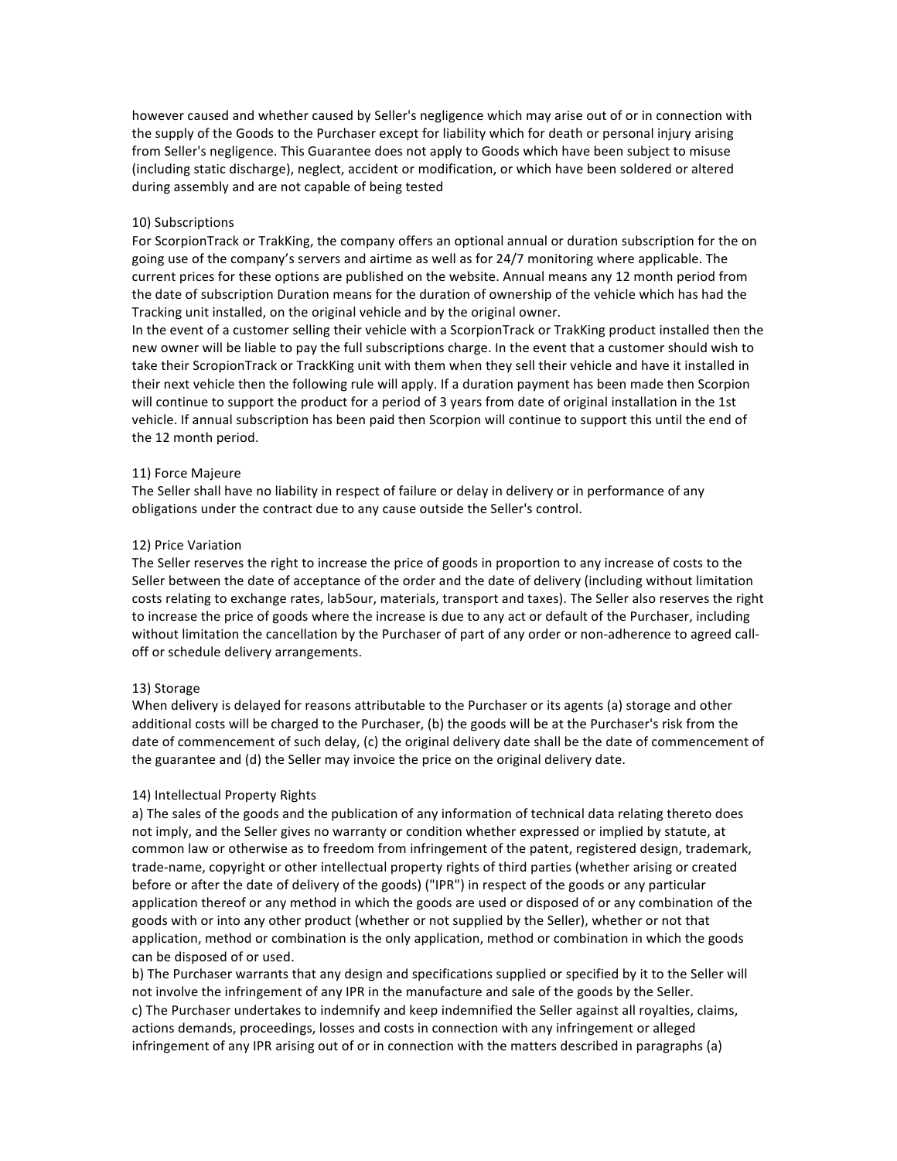however caused and whether caused by Seller's negligence which may arise out of or in connection with the supply of the Goods to the Purchaser except for liability which for death or personal injury arising from Seller's negligence. This Guarantee does not apply to Goods which have been subject to misuse (including static discharge), neglect, accident or modification, or which have been soldered or altered during assembly and are not capable of being tested

# 10) Subscriptions

For ScorpionTrack or TrakKing, the company offers an optional annual or duration subscription for the on going use of the company's servers and airtime as well as for 24/7 monitoring where applicable. The current prices for these options are published on the website. Annual means any 12 month period from the date of subscription Duration means for the duration of ownership of the vehicle which has had the Tracking unit installed, on the original vehicle and by the original owner.

In the event of a customer selling their vehicle with a ScorpionTrack or TrakKing product installed then the new owner will be liable to pay the full subscriptions charge. In the event that a customer should wish to take their ScropionTrack or TrackKing unit with them when they sell their vehicle and have it installed in their next vehicle then the following rule will apply. If a duration payment has been made then Scorpion will continue to support the product for a period of 3 years from date of original installation in the 1st vehicle. If annual subscription has been paid then Scorpion will continue to support this until the end of the 12 month period.

#### 11) Force Majeure

The Seller shall have no liability in respect of failure or delay in delivery or in performance of any obligations under the contract due to any cause outside the Seller's control.

#### 12) Price Variation

The Seller reserves the right to increase the price of goods in proportion to any increase of costs to the Seller between the date of acceptance of the order and the date of delivery (including without limitation costs relating to exchange rates, lab5our, materials, transport and taxes). The Seller also reserves the right to increase the price of goods where the increase is due to any act or default of the Purchaser, including without limitation the cancellation by the Purchaser of part of any order or non-adherence to agreed calloff or schedule delivery arrangements.

#### 13) Storage

When delivery is delayed for reasons attributable to the Purchaser or its agents (a) storage and other additional costs will be charged to the Purchaser, (b) the goods will be at the Purchaser's risk from the date of commencement of such delay, (c) the original delivery date shall be the date of commencement of the guarantee and (d) the Seller may invoice the price on the original delivery date.

### 14) Intellectual Property Rights

a) The sales of the goods and the publication of any information of technical data relating thereto does not imply, and the Seller gives no warranty or condition whether expressed or implied by statute, at common law or otherwise as to freedom from infringement of the patent, registered design, trademark, trade-name, copyright or other intellectual property rights of third parties (whether arising or created before or after the date of delivery of the goods) ("IPR") in respect of the goods or any particular application thereof or any method in which the goods are used or disposed of or any combination of the goods with or into any other product (whether or not supplied by the Seller), whether or not that application, method or combination is the only application, method or combination in which the goods can be disposed of or used.

b) The Purchaser warrants that any design and specifications supplied or specified by it to the Seller will not involve the infringement of any IPR in the manufacture and sale of the goods by the Seller. c) The Purchaser undertakes to indemnify and keep indemnified the Seller against all royalties, claims, actions demands, proceedings, losses and costs in connection with any infringement or alleged infringement of any IPR arising out of or in connection with the matters described in paragraphs (a)